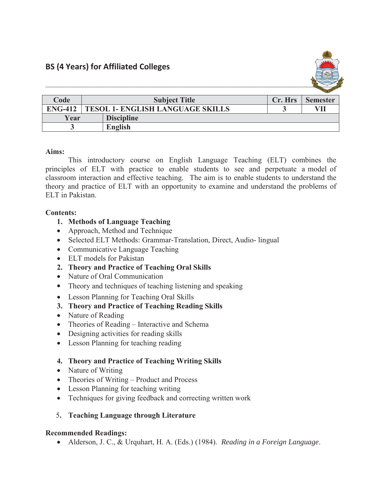

|                |                                         |                   |         | <b>Security of the Second Second</b> |
|----------------|-----------------------------------------|-------------------|---------|--------------------------------------|
| Code           | <b>Subject Title</b>                    |                   | Cr. Hrs | <b>Semester</b>                      |
| <b>ENG-412</b> | <b>TESOL 1- ENGLISH LANGUAGE SKILLS</b> |                   |         |                                      |
| Year           |                                         | <b>Discipline</b> |         |                                      |
|                |                                         | English           |         |                                      |

### **Aims:**

This introductory course on English Language Teaching (ELT) combines the principles of ELT with practice to enable students to see and perpetuate a model of classroom interaction and effective teaching. The aim is to enable students to understand the theory and practice of ELT with an opportunity to examine and understand the problems of ELT in Pakistan.

## **Contents:**

# **1. Methods of Language Teaching**

- Approach, Method and Technique
- Selected ELT Methods: Grammar-Translation, Direct, Audio- lingual
- Communicative Language Teaching
- ELT models for Pakistan
- **2. Theory and Practice of Teaching Oral Skills**
- Nature of Oral Communication
- $\bullet$  Theory and techniques of teaching listening and speaking
- Lesson Planning for Teaching Oral Skills
- **3. Theory and Practice of Teaching Reading Skills**
- Nature of Reading
- Theories of Reading Interactive and Schema
- Designing activities for reading skills
- Lesson Planning for teaching reading

# **4. Theory and Practice of Teaching Writing Skills**

- Nature of Writing
- $\bullet$  Theories of Writing Product and Process
- Lesson Planning for teaching writing
- $\bullet$  Techniques for giving feedback and correcting written work
- 5**. Teaching Language through Literature**

### **Recommended Readings:**

x Alderson, J. C., & Urquhart, H. A. (Eds.) (1984). *Reading in a Foreign Language*.